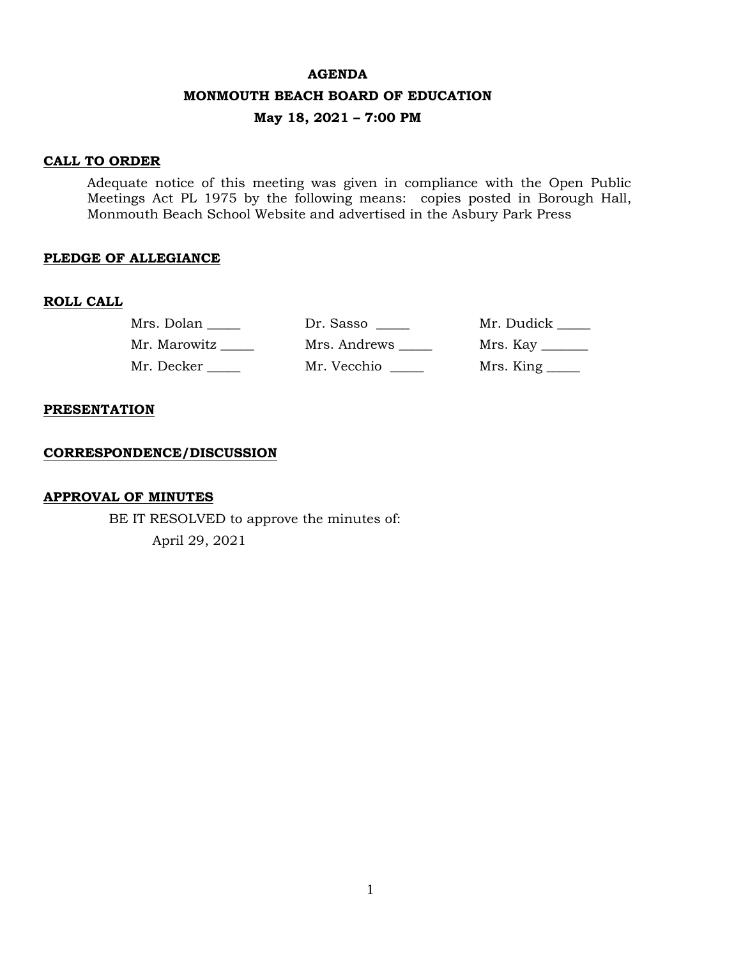#### **AGENDA**

#### **MONMOUTH BEACH BOARD OF EDUCATION**

# **May 18, 2021 – 7:00 PM**

### **CALL TO ORDER**

Adequate notice of this meeting was given in compliance with the Open Public Meetings Act PL 1975 by the following means: copies posted in Borough Hall, Monmouth Beach School Website and advertised in the Asbury Park Press

### **PLEDGE OF ALLEGIANCE**

#### **ROLL CALL**

| Mrs. Dolan   | Dr. Sasso    | Mr. Dudick       |
|--------------|--------------|------------------|
| Mr. Marowitz | Mrs. Andrews | Mrs. Kay _______ |
| Mr. Decker   | Mr. Vecchio  |                  |

#### **PRESENTATION**

#### **CORRESPONDENCE/DISCUSSION**

#### **APPROVAL OF MINUTES**

BE IT RESOLVED to approve the minutes of: April 29, 2021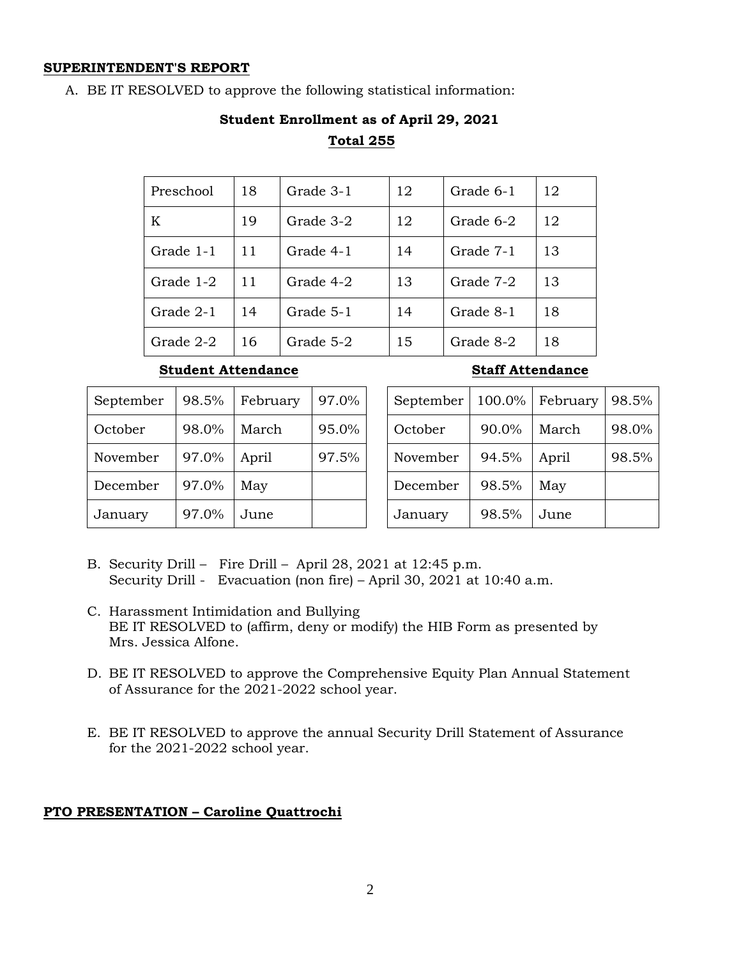#### **SUPERINTENDENT'S REPORT**

A. BE IT RESOLVED to approve the following statistical information:

# **Student Enrollment as of April 29, 2021 Total 255**

| Preschool | 18 | Grade 3-1 | 12 | Grade 6-1 | 12 |
|-----------|----|-----------|----|-----------|----|
| K         | 19 | Grade 3-2 | 12 | Grade 6-2 | 12 |
| Grade 1-1 | 11 | Grade 4-1 | 14 | Grade 7-1 | 13 |
| Grade 1-2 | 11 | Grade 4-2 | 13 | Grade 7-2 | 13 |
| Grade 2-1 | 14 | Grade 5-1 | 14 | Grade 8-1 | 18 |
| Grade 2-2 | 16 | Grade 5-2 | 15 | Grade 8-2 | 18 |

# **Student Attendance Staff Attendance**

| September | 98.5% | February | 97.0% |
|-----------|-------|----------|-------|
| October   | 98.0% | March    | 95.0% |
| November  | 97.0% | April    | 97.5% |
| December  | 97.0% | May      |       |
| January   | 97.0% | June     |       |

| September | 100.0% | February | 98.5% |
|-----------|--------|----------|-------|
| October   | 90.0%  | March    | 98.0% |
| November  | 94.5%  | April    | 98.5% |
| December  | 98.5%  | May      |       |
| January   | 98.5%  | June     |       |

- B. Security Drill Fire Drill April 28, 2021 at 12:45 p.m. Security Drill - Evacuation (non fire) – April 30, 2021 at 10:40 a.m.
- C. Harassment Intimidation and Bullying BE IT RESOLVED to (affirm, deny or modify) the HIB Form as presented by Mrs. Jessica Alfone.
- D. BE IT RESOLVED to approve the Comprehensive Equity Plan Annual Statement of Assurance for the 2021-2022 school year.
- E. BE IT RESOLVED to approve the annual Security Drill Statement of Assurance for the 2021-2022 school year.

# **PTO PRESENTATION – Caroline Quattrochi**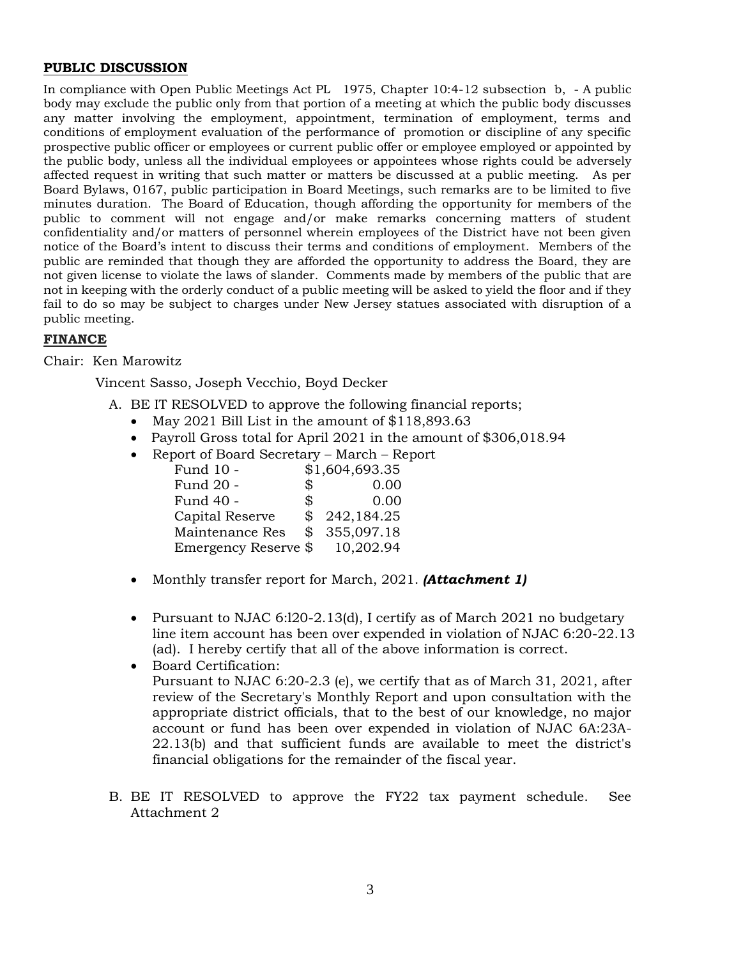### **PUBLIC DISCUSSION**

In compliance with Open Public Meetings Act PL 1975, Chapter 10:4-12 subsection b, - A public body may exclude the public only from that portion of a meeting at which the public body discusses any matter involving the employment, appointment, termination of employment, terms and conditions of employment evaluation of the performance of promotion or discipline of any specific prospective public officer or employees or current public offer or employee employed or appointed by the public body, unless all the individual employees or appointees whose rights could be adversely affected request in writing that such matter or matters be discussed at a public meeting. As per Board Bylaws, 0167, public participation in Board Meetings, such remarks are to be limited to five minutes duration. The Board of Education, though affording the opportunity for members of the public to comment will not engage and/or make remarks concerning matters of student confidentiality and/or matters of personnel wherein employees of the District have not been given notice of the Board's intent to discuss their terms and conditions of employment. Members of the public are reminded that though they are afforded the opportunity to address the Board, they are not given license to violate the laws of slander. Comments made by members of the public that are not in keeping with the orderly conduct of a public meeting will be asked to yield the floor and if they fail to do so may be subject to charges under New Jersey statues associated with disruption of a public meeting.

# **FINANCE**

### Chair: Ken Marowitz

Vincent Sasso, Joseph Vecchio, Boyd Decker

- A. BE IT RESOLVED to approve the following financial reports;
	- May 2021 Bill List in the amount of \$118,893.63
	- Payroll Gross total for April 2021 in the amount of \$306,018.94
	- Report of Board Secretary March Report

| Fund 10 -            |            | \$1,604,693.35 |
|----------------------|------------|----------------|
| Fund 20 -            | \$         | 0.00           |
| Fund 40 -            | \$         | 0.00           |
| Capital Reserve      | $^{\circ}$ | 242,184.25     |
| Maintenance Res      | \$         | 355,097.18     |
| Emergency Reserve \$ |            | 10,202.94      |

- Monthly transfer report for March, 2021. *(Attachment 1)*
- Pursuant to NJAC 6:120-2.13(d), I certify as of March 2021 no budgetary line item account has been over expended in violation of NJAC 6:20-22.13 (ad). I hereby certify that all of the above information is correct.
- Board Certification: Pursuant to NJAC 6:20-2.3 (e), we certify that as of March 31, 2021, after review of the Secretary's Monthly Report and upon consultation with the appropriate district officials, that to the best of our knowledge, no major account or fund has been over expended in violation of NJAC 6A:23A-22.13(b) and that sufficient funds are available to meet the district's financial obligations for the remainder of the fiscal year.
- B. BE IT RESOLVED to approve the FY22 tax payment schedule. See Attachment 2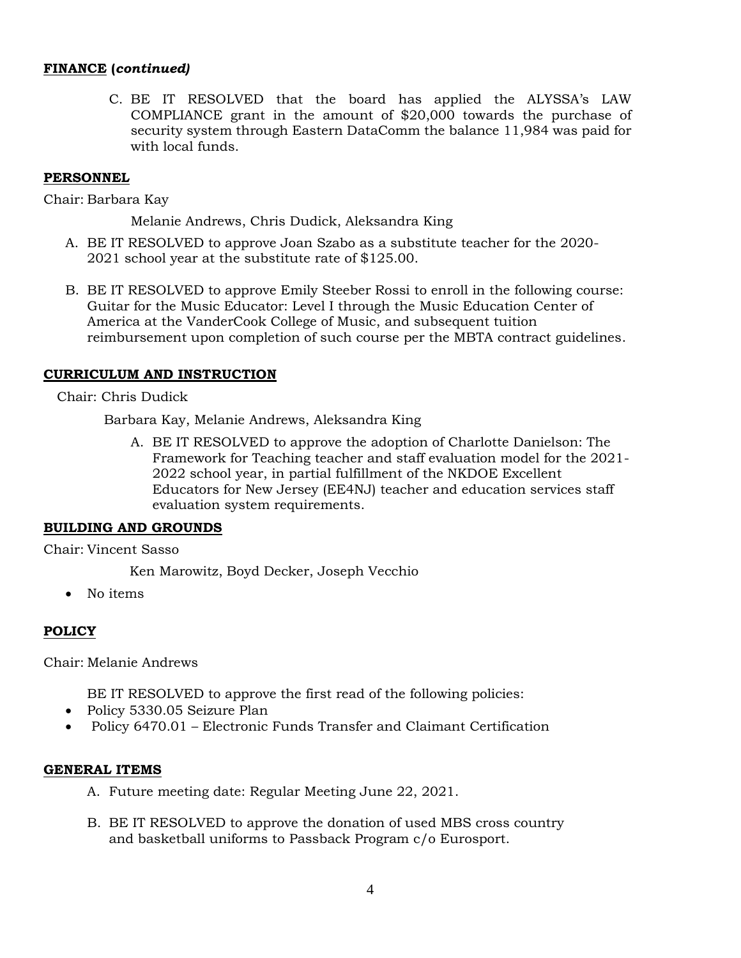# **FINANCE (***continued)*

C. BE IT RESOLVED that the board has applied the ALYSSA's LAW COMPLIANCE grant in the amount of \$20,000 towards the purchase of security system through Eastern DataComm the balance 11,984 was paid for with local funds.

### **PERSONNEL**

Chair: Barbara Kay

Melanie Andrews, Chris Dudick, Aleksandra King

- A. BE IT RESOLVED to approve Joan Szabo as a substitute teacher for the 2020- 2021 school year at the substitute rate of \$125.00.
- B. BE IT RESOLVED to approve Emily Steeber Rossi to enroll in the following course: Guitar for the Music Educator: Level I through the Music Education Center of America at the VanderCook College of Music, and subsequent tuition reimbursement upon completion of such course per the MBTA contract guidelines.

# **CURRICULUM AND INSTRUCTION**

Chair: Chris Dudick

Barbara Kay, Melanie Andrews, Aleksandra King

A. BE IT RESOLVED to approve the adoption of Charlotte Danielson: The Framework for Teaching teacher and staff evaluation model for the 2021- 2022 school year, in partial fulfillment of the NKDOE Excellent Educators for New Jersey (EE4NJ) teacher and education services staff evaluation system requirements.

### **BUILDING AND GROUNDS**

Chair: Vincent Sasso

Ken Marowitz, Boyd Decker, Joseph Vecchio

• No items

# **POLICY**

Chair: Melanie Andrews

BE IT RESOLVED to approve the first read of the following policies:

- Policy 5330.05 Seizure Plan
- Policy 6470.01 Electronic Funds Transfer and Claimant Certification

### **GENERAL ITEMS**

- A. Future meeting date: Regular Meeting June 22, 2021.
- B. BE IT RESOLVED to approve the donation of used MBS cross country and basketball uniforms to Passback Program c/o Eurosport.